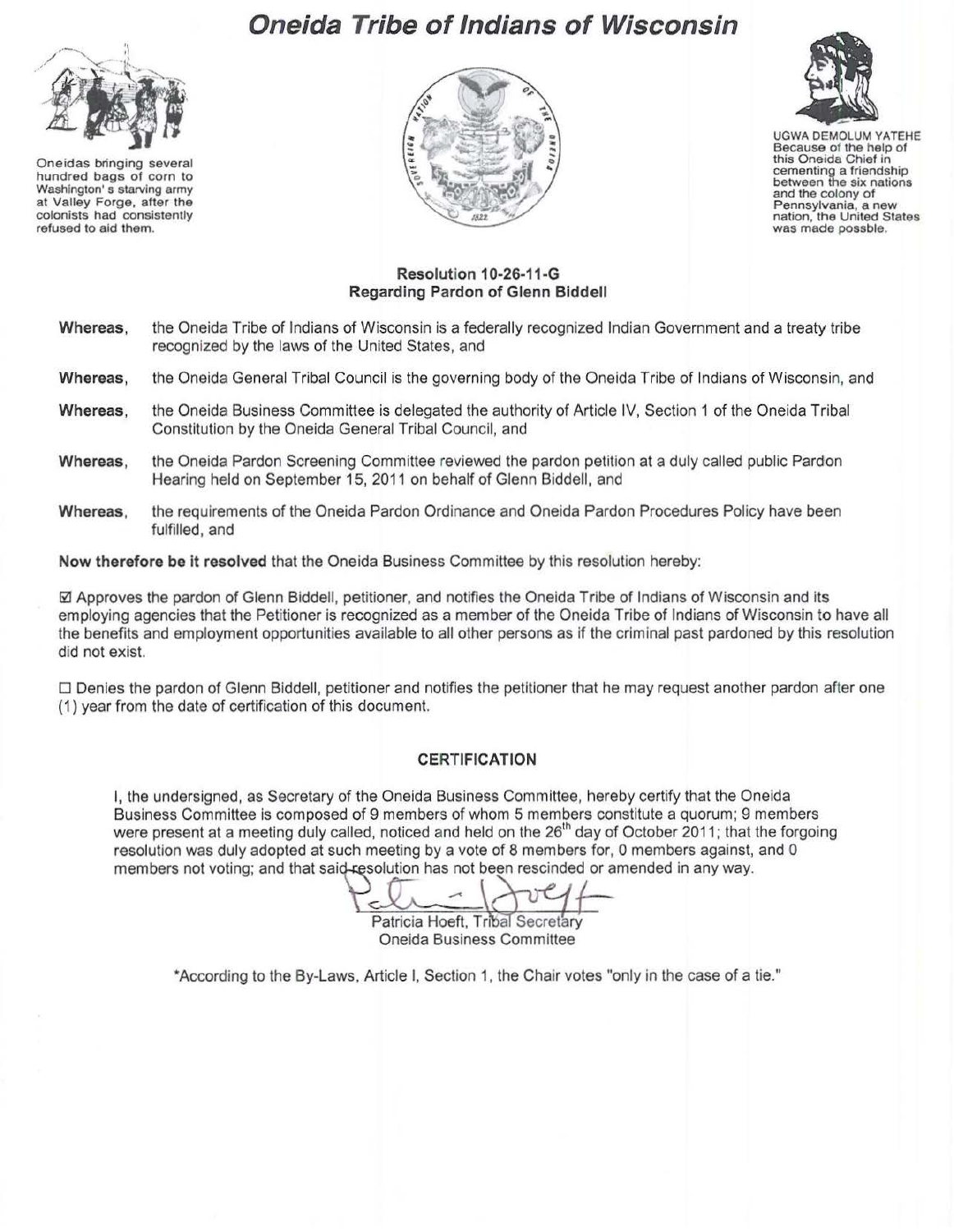## **Oneida Tribe of Indians of Wisconsin**



Oneidas bringing several hundred bags of corn to Washington' s starving army at Valley Forge, after the colonists had consistently refused to aid them.





UGWA DEMOLUM YATEHE Because of the help of this Oneida Chief in cementing a friendship between the six nations and the colony of<br>Pennsylvania, a new nation, the United States<br>was made possble.

## **Resolution 1 0-26-11-G Regarding Pardon of Glenn Siddell**

- **Whereas,** the Oneida Tribe of Indians of Wisconsin is a federally recognized Indian Government and a treaty tribe recognized by the laws of the United States, and
- **Whereas,** the Oneida General Tribal Council is the governing body of the Oneida Tribe of Indians of Wisconsin, and
- **Whereas,** the Oneida Business Committee is delegated the authority of Article IV, Section 1 of the Oneida Tribal Constitution by the Oneida General Tribal Council, and
- **Whereas,** the Oneida Pardon Screening Committee reviewed the pardon petition at a duly called public Pardon Hearing held on September 15, 2011 on behalf of Glenn Siddell, and
- **Whereas,** the requirements of the Oneida Pardon Ordinance and Oneida Pardon Procedures Policy have been fulfilled, and

**Now therefore be it resolved** that the Oneida Business Committee by this resolution hereby:

0 Approves the pardon of Glenn Siddell, petitioner, and notifies the Oneida Tribe of Indians of Wisconsin and its employing agencies that the Petitioner is recognized as a member of the Oneida Tribe of Indians of Wisconsin to have all the benefits and employment opportunities available to all other persons as if the criminal past pardoned by this resolution did not exist.

 $\square$  Denies the pardon of Glenn Biddell, petitioner and notifies the petitioner that he may request another pardon after one (1) year from the date of certification of this document.

## **CERTIFICATION**

I, the undersigned, as Secretary of the Oneida Business Committee, hereby certify that the Oneida Business Committee is composed of 9 members of whom 5 members constitute a quorum; 9 members business committee is composed of a members of whom a members constitute a didertify, a members were present at a meeting duly called, noticed and held on the 26<sup>th</sup> day of October 2011; that the forgoing resolution was du resolution was duly adopted at such meeting by a vote of 8 members for, 0 members against, and 0 members not voting; and that said-resolution has not been rescinded or amended in any way.

Patricia Hoeft, Tribal Secretary

Oneida Business Committee

•According to the By-Laws, Article I, Section 1, the Chair votes "only in the case of a tie."